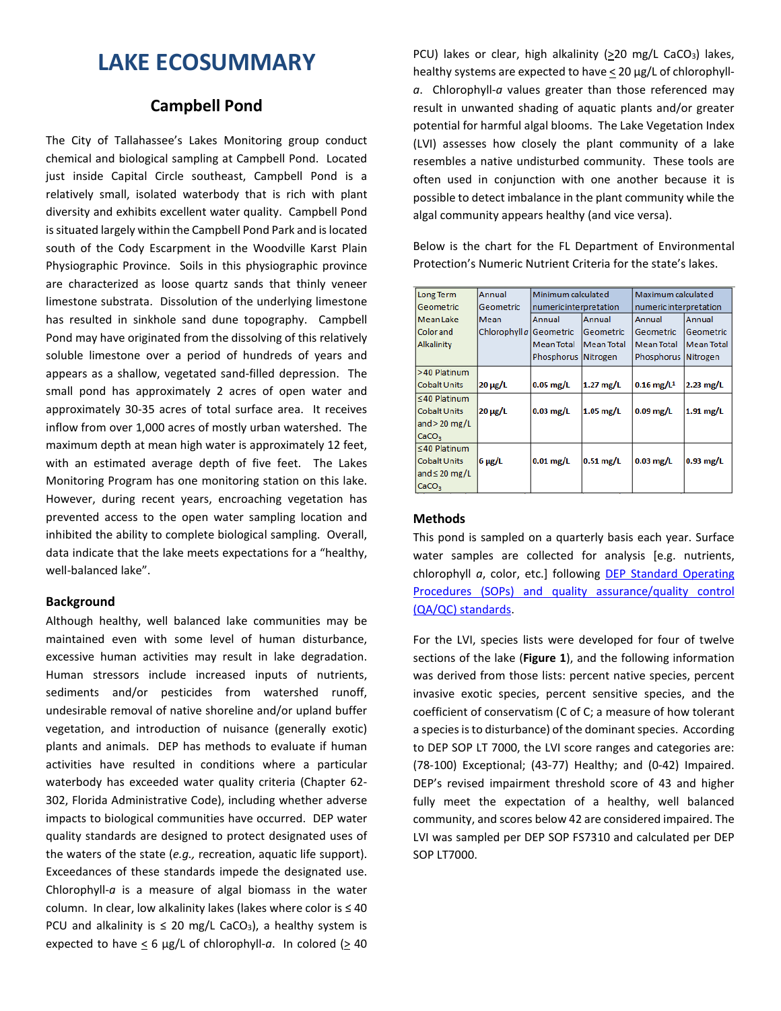# **LAKE ECOSUMMARY**

# **Campbell Pond**

The City of Tallahassee's Lakes Monitoring group conduct chemical and biological sampling at Campbell Pond. Located just inside Capital Circle southeast, Campbell Pond is a relatively small, isolated waterbody that is rich with plant diversity and exhibits excellent water quality. Campbell Pond is situated largely within the Campbell Pond Park and is located south of the Cody Escarpment in the Woodville Karst Plain Physiographic Province. Soils in this physiographic province are characterized as loose quartz sands that thinly veneer limestone substrata. Dissolution of the underlying limestone has resulted in sinkhole sand dune topography. Campbell Pond may have originated from the dissolving of this relatively soluble limestone over a period of hundreds of years and appears as a shallow, vegetated sand-filled depression. The small pond has approximately 2 acres of open water and approximately 30-35 acres of total surface area. It receives inflow from over 1,000 acres of mostly urban watershed. The maximum depth at mean high water is approximately 12 feet, with an estimated average depth of five feet. The Lakes Monitoring Program has one monitoring station on this lake. However, during recent years, encroaching vegetation has prevented access to the open water sampling location and inhibited the ability to complete biological sampling. Overall, data indicate that the lake meets expectations for a "healthy, well-balanced lake".

## **Background**

Although healthy, well balanced lake communities may be maintained even with some level of human disturbance, excessive human activities may result in lake degradation. Human stressors include increased inputs of nutrients, sediments and/or pesticides from watershed runoff, undesirable removal of native shoreline and/or upland buffer vegetation, and introduction of nuisance (generally exotic) plants and animals. DEP has methods to evaluate if human activities have resulted in conditions where a particular waterbody has exceeded water quality criteria (Chapter 62- 302, Florida Administrative Code), including whether adverse impacts to biological communities have occurred. DEP water quality standards are designed to protect designated uses of the waters of the state (*e.g.,* recreation, aquatic life support). Exceedances of these standards impede the designated use. Chlorophyll-*a* is a measure of algal biomass in the water column. In clear, low alkalinity lakes (lakes where color is ≤ 40 PCU and alkalinity is  $\leq$  20 mg/L CaCO<sub>3</sub>), a healthy system is expected to have < 6 µg/L of chlorophyll-*a*. In colored (> 40

PCU) lakes or clear, high alkalinity (>20 mg/L CaCO<sub>3</sub>) lakes, healthy systems are expected to have < 20 µg/L of chlorophyll*a*. Chlorophyll-*a* values greater than those referenced may result in unwanted shading of aquatic plants and/or greater potential for harmful algal blooms. The Lake Vegetation Index (LVI) assesses how closely the plant community of a lake resembles a native undisturbed community. These tools are often used in conjunction with one another because it is possible to detect imbalance in the plant community while the algal community appears healthy (and vice versa).

Below is the chart for the FL Department of Environmental Protection's Numeric Nutrient Criteria for the state's lakes.

| <b>Long Term</b>    | Annual                  | Minimum calculated     |                   | Maximum calculated       |                   |  |  |
|---------------------|-------------------------|------------------------|-------------------|--------------------------|-------------------|--|--|
| Geometric           | Geometric               | numeric interpretation |                   | numeric interpretation   |                   |  |  |
| <b>Mean Lake</b>    | Mean                    | Annual                 | Annual            | Annual                   | Annual            |  |  |
| <b>Color</b> and    | Chlorophyll a Geometric |                        | Geometric         | Geometric                | Geometric         |  |  |
| <b>Alkalinity</b>   |                         | <b>Mean Total</b>      | <b>Mean Total</b> | <b>Mean Total</b>        | <b>Mean Total</b> |  |  |
|                     |                         | Phosphorus Nitrogen    |                   | Phosphorus               | Nitrogen          |  |  |
| >40 Platinum        |                         |                        |                   |                          |                   |  |  |
| Cobalt Units        | $20 \mu g/L$            | $0.05$ mg/L            | $1.27$ mg/L       | $0.16$ mg/L <sup>1</sup> | $2.23$ mg/L       |  |  |
| $\leq$ 40 Platinum  |                         |                        |                   |                          |                   |  |  |
| <b>Cobalt Units</b> | $20 \mu g/L$            | $0.03$ mg/L            | $1.05$ mg/L       | $0.09$ mg/L              | $1.91$ mg/L       |  |  |
| and $>$ 20 mg/L     |                         |                        |                   |                          |                   |  |  |
| CaCO <sub>3</sub>   |                         |                        |                   |                          |                   |  |  |
| $\leq$ 40 Platinum  |                         |                        |                   |                          |                   |  |  |
| <b>Cobalt Units</b> | $6 \mu g/L$             | $0.01$ mg/L            | $0.51$ mg/L       | $0.03$ mg/L              | $0.93$ mg/L       |  |  |
| and $\leq$ 20 mg/L  |                         |                        |                   |                          |                   |  |  |
| CaCO <sub>3</sub>   |                         |                        |                   |                          |                   |  |  |

# **Methods**

This pond is sampled on a quarterly basis each year. Surface water samples are collected for analysis [e.g. nutrients, chlorophyll *a*, color, etc.] following [DEP Standard Operating](http://www.dep.state.fl.us/water/sas/qa/sops.htm)  [Procedures \(SOPs\) and quality assurance/quality control](http://www.dep.state.fl.us/water/sas/qa/sops.htm)  [\(QA/QC\) standards.](http://www.dep.state.fl.us/water/sas/qa/sops.htm)

For the LVI, species lists were developed for four of twelve sections of the lake (**Figure 1**), and the following information was derived from those lists: percent native species, percent invasive exotic species, percent sensitive species, and the coefficient of conservatism (C of C; a measure of how tolerant a species is to disturbance) of the dominant species. According to DEP SOP LT 7000, the LVI score ranges and categories are: (78-100) Exceptional; (43-77) Healthy; and (0-42) Impaired. DEP's revised impairment threshold score of 43 and higher fully meet the expectation of a healthy, well balanced community, and scores below 42 are considered impaired. The LVI was sampled per DEP SOP FS7310 and calculated per DEP SOP LT7000.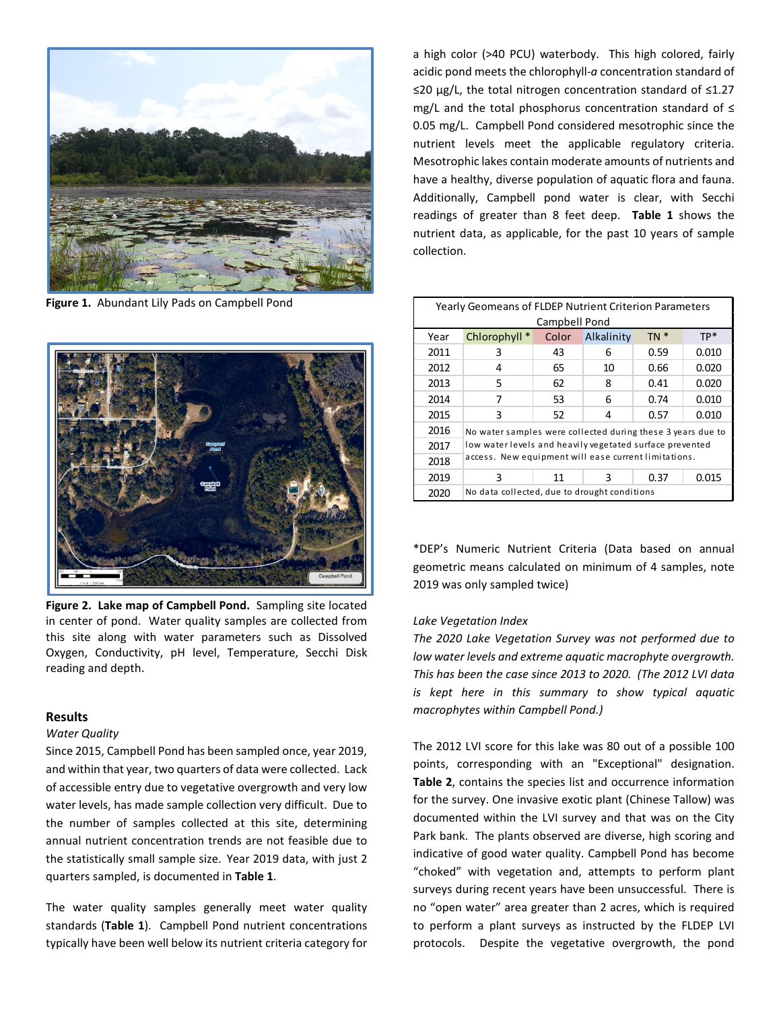

**Figure 1.** Abundant Lily Pads on Campbell Pond



**Figure 2. Lake map of Campbell Pond.** Sampling site located in center of pond. Water quality samples are collected from this site along with water parameters such as Dissolved Oxygen, Conductivity, pH level, Temperature, Secchi Disk reading and depth.

#### **Results**

#### *Water Quality*

Since 2015, Campbell Pond has been sampled once, year 2019, and within that year, two quarters of data were collected. Lack of accessible entry due to vegetative overgrowth and very low water levels, has made sample collection very difficult. Due to the number of samples collected at this site, determining annual nutrient concentration trends are not feasible due to the statistically small sample size. Year 2019 data, with just 2 quarters sampled, is documented in **Table 1**.

The water quality samples generally meet water quality standards (**Table 1**). Campbell Pond nutrient concentrations typically have been well below its nutrient criteria category for

a high color (>40 PCU) waterbody. This high colored, fairly acidic pond meets the chlorophyll-*a* concentration standard of ≤20 µg/L, the total nitrogen concentration standard of ≤1.27 mg/L and the total phosphorus concentration standard of ≤ 0.05 mg/L. Campbell Pond considered mesotrophic since the nutrient levels meet the applicable regulatory criteria. Mesotrophic lakes contain moderate amounts of nutrients and have a healthy, diverse population of aquatic flora and fauna. Additionally, Campbell pond water is clear, with Secchi readings of greater than 8 feet deep. **Table 1** shows the nutrient data, as applicable, for the past 10 years of sample collection.

| Yearly Geomeans of FLDEP Nutrient Criterion Parameters |                                                             |       |            |        |       |  |  |  |  |
|--------------------------------------------------------|-------------------------------------------------------------|-------|------------|--------|-------|--|--|--|--|
| Campbell Pond                                          |                                                             |       |            |        |       |  |  |  |  |
| Year                                                   | Chlorophyll *                                               | Color | Alkalinity | $TN *$ | $TP*$ |  |  |  |  |
| 2011                                                   | 3                                                           | 43    | 6          | 0.59   | 0.010 |  |  |  |  |
| 2012                                                   | 4                                                           | 65    | 10         | 0.66   | 0.020 |  |  |  |  |
| 2013                                                   | 5                                                           | 62    | 8          | 0.41   | 0.020 |  |  |  |  |
| 2014                                                   | 7                                                           | 53    | 6          | 0.74   | 0.010 |  |  |  |  |
| 2015                                                   | 3                                                           | 52    | 4          | 0.57   | 0.010 |  |  |  |  |
| 2016                                                   | No water samples were collected during these 3 years due to |       |            |        |       |  |  |  |  |
| 2017                                                   | low water levels and heavily vegetated surface prevented    |       |            |        |       |  |  |  |  |
| 2018                                                   | access. New equipment will ease current limitations.        |       |            |        |       |  |  |  |  |
| 2019                                                   | 3                                                           | 11    | 3          | 0.37   | 0.015 |  |  |  |  |
| 2020                                                   | No data collected, due to drought conditions                |       |            |        |       |  |  |  |  |

\*DEP's Numeric Nutrient Criteria (Data based on annual geometric means calculated on minimum of 4 samples, note 2019 was only sampled twice)

## *Lake Vegetation Index*

*The 2020 Lake Vegetation Survey was not performed due to low water levels and extreme aquatic macrophyte overgrowth. This has been the case since 2013 to 2020. (The 2012 LVI data is kept here in this summary to show typical aquatic macrophytes within Campbell Pond.)*

The 2012 LVI score for this lake was 80 out of a possible 100 points, corresponding with an "Exceptional" designation. **Table 2**, contains the species list and occurrence information for the survey. One invasive exotic plant (Chinese Tallow) was documented within the LVI survey and that was on the City Park bank. The plants observed are diverse, high scoring and indicative of good water quality. Campbell Pond has become "choked" with vegetation and, attempts to perform plant surveys during recent years have been unsuccessful. There is no "open water" area greater than 2 acres, which is required to perform a plant surveys as instructed by the FLDEP LVI protocols. Despite the vegetative overgrowth, the pond